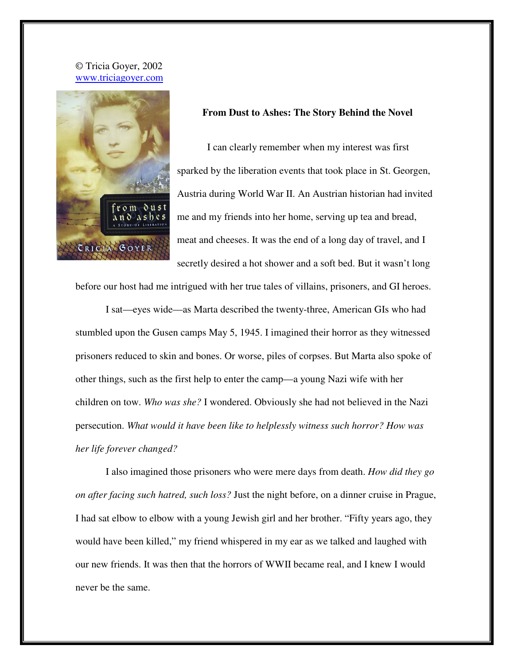## © Tricia Goyer, 2002 www.triciagoyer.com



## **From Dust to Ashes: The Story Behind the Novel**

I can clearly remember when my interest was first sparked by the liberation events that took place in St. Georgen, Austria during World War II. An Austrian historian had invited me and my friends into her home, serving up tea and bread, meat and cheeses. It was the end of a long day of travel, and I secretly desired a hot shower and a soft bed. But it wasn't long

before our host had me intrigued with her true tales of villains, prisoners, and GI heroes.

I sat—eyes wide—as Marta described the twenty-three, American GIs who had stumbled upon the Gusen camps May 5, 1945. I imagined their horror as they witnessed prisoners reduced to skin and bones. Or worse, piles of corpses. But Marta also spoke of other things, such as the first help to enter the camp—a young Nazi wife with her children on tow. *Who was she?* I wondered. Obviously she had not believed in the Nazi persecution. *What would it have been like to helplessly witness such horror? How was her life forever changed?* 

I also imagined those prisoners who were mere days from death. *How did they go on after facing such hatred, such loss?* Just the night before, on a dinner cruise in Prague, I had sat elbow to elbow with a young Jewish girl and her brother. "Fifty years ago, they would have been killed," my friend whispered in my ear as we talked and laughed with our new friends. It was then that the horrors of WWII became real, and I knew I would never be the same.